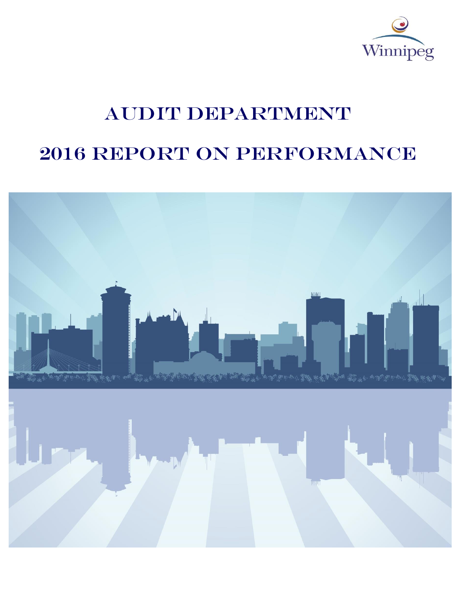

# AUDIT DEPARTMENT

# 2016 REPORT ON PERFORMANCE

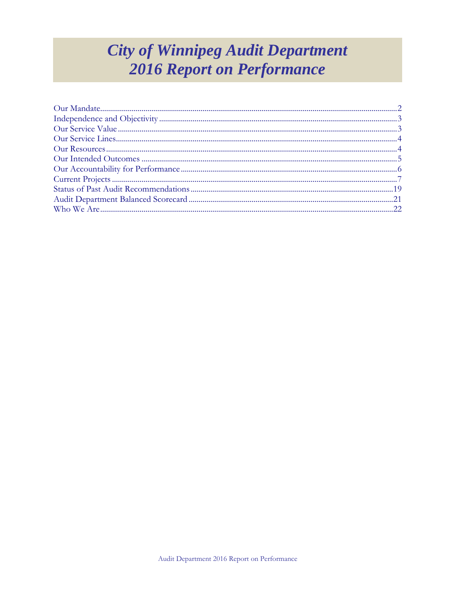## **City of Winnipeg Audit Department 2016 Report on Performance**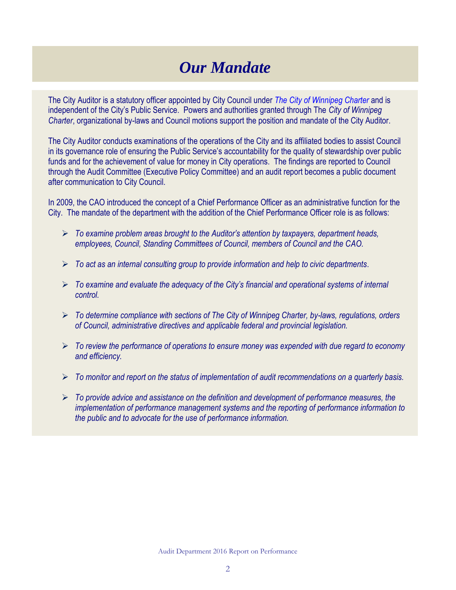## *Our Mandate*

The City Auditor is a statutory officer appointed by City Council under *[The City of Winnipeg Charter](http://web2.gov.mb.ca/laws/statutes/municipal/c03902e.php)* and is independent of the City's Public Service. Powers and authorities granted through The *City of Winnipeg Charter*, organizational by-laws and Council motions support the position and mandate of the City Auditor.

The City Auditor conducts examinations of the operations of the City and its affiliated bodies to assist Council in its governance role of ensuring the Public Service's accountability for the quality of stewardship over public funds and for the achievement of value for money in City operations. The findings are reported to Council through the Audit Committee (Executive Policy Committee) and an audit report becomes a public document after communication to City Council.

In 2009, the CAO introduced the concept of a Chief Performance Officer as an administrative function for the City. The mandate of the department with the addition of the Chief Performance Officer role is as follows:

- *To examine problem areas brought to the Auditor's attention by taxpayers, department heads, employees, Council, Standing Committees of Council, members of Council and the CAO.*
- *To act as an internal consulting group to provide information and help to civic departments.*
- *To examine and evaluate the adequacy of the City's financial and operational systems of internal control.*
- *To determine compliance with sections of The City of Winnipeg Charter, by-laws, regulations, orders of Council, administrative directives and applicable federal and provincial legislation.*
- *To review the performance of operations to ensure money was expended with due regard to economy and efficiency.*
- *To monitor and report on the status of implementation of audit recommendations on a quarterly basis.*
- *To provide advice and assistance on the definition and development of performance measures, the implementation of performance management systems and the reporting of performance information to the public and to advocate for the use of performance information.*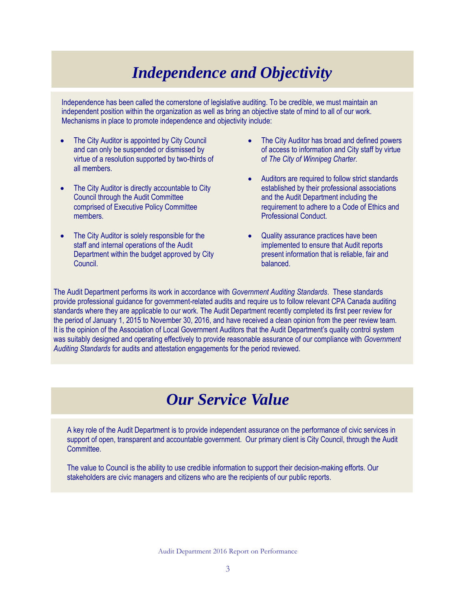## *Independence and Objectivity*

Independence has been called the cornerstone of legislative auditing. To be credible, we must maintain an independent position within the organization as well as bring an objective state of mind to all of our work. Mechanisms in place to promote independence and objectivity include:

- The City Auditor is appointed by City Council and can only be suspended or dismissed by virtue of a resolution supported by two-thirds of all members.
- The City Auditor is directly accountable to City Council through the Audit Committee comprised of Executive Policy Committee members.
- The City Auditor is solely responsible for the staff and internal operations of the Audit Department within the budget approved by City Council.
- The City Auditor has broad and defined powers of access to information and City staff by virtue of *The City of Winnipeg Charter*.
- Auditors are required to follow strict standards established by their professional associations and the Audit Department including the requirement to adhere to a Code of Ethics and Professional Conduct.
- Quality assurance practices have been implemented to ensure that Audit reports present information that is reliable, fair and balanced.

<span id="page-3-0"></span>The Audit Department performs its work in accordance with *Government Auditing Standards*. These standards provide professional guidance for government-related audits and require us to follow relevant CPA Canada auditing standards where they are applicable to our work. The Audit Department recently completed its first peer review for the period of January 1, 2015 to November 30, 2016, and have received a clean opinion from the peer review team. It is the opinion of the Association of Local Government Auditors that the Audit Department's quality control system was suitably designed and operating effectively to provide reasonable assurance of our compliance with *Government Auditing Standards* for audits and attestation engagements for the period reviewed.

## *Our Service Value*

A key role of the Audit Department is to provide independent assurance on the performance of civic services in support of open, transparent and accountable government. Our primary client is City Council, through the Audit Committee.

The value to Council is the ability to use credible information to support their decision-making efforts. Our stakeholders are civic managers and citizens who are the recipients of our public reports.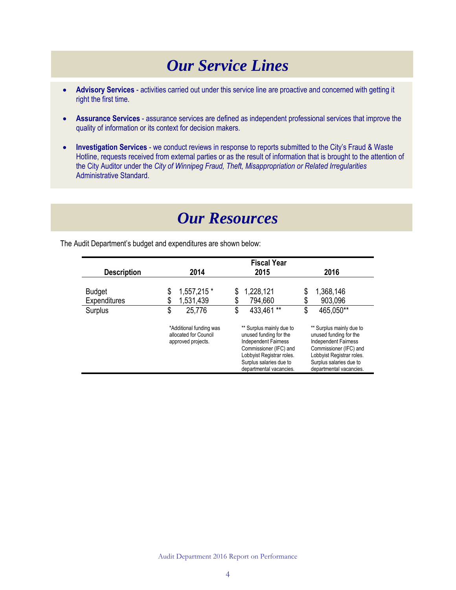## *Our Service Lines*

- <span id="page-4-0"></span> **Advisory Services** - activities carried out under this service line are proactive and concerned with getting it right the first time.
- **Assurance Services** assurance services are defined as independent professional services that improve the quality of information or its context for decision makers.
- **Investigation Services** we conduct reviews in response to reports submitted to the City's Fraud & Waste Hotline, requests received from external parties or as the result of information that is brought to the attention of the City Auditor under the *City of Winnipeg Fraud, Theft, Misappropriation or Related Irregularities* Administrative Standard.

## *Our Resources*

<span id="page-4-1"></span>The Audit Department's budget and expenditures are shown below:

|                    | <b>Fiscal Year</b>                                                     |                                                                                                                                                                                                |                                                                                                                                                                                                |  |  |
|--------------------|------------------------------------------------------------------------|------------------------------------------------------------------------------------------------------------------------------------------------------------------------------------------------|------------------------------------------------------------------------------------------------------------------------------------------------------------------------------------------------|--|--|
| <b>Description</b> | 2014                                                                   | 2015                                                                                                                                                                                           | 2016                                                                                                                                                                                           |  |  |
|                    |                                                                        |                                                                                                                                                                                                |                                                                                                                                                                                                |  |  |
| <b>Budget</b>      | 1,557,215 *<br>\$                                                      | 1,228,121<br>\$                                                                                                                                                                                | 1,368,146<br>\$                                                                                                                                                                                |  |  |
| Expenditures       | \$<br>1,531,439                                                        | 794,660<br>\$                                                                                                                                                                                  | \$<br>903,096                                                                                                                                                                                  |  |  |
| Surplus            | \$<br>25,776                                                           | 433,461**<br>\$                                                                                                                                                                                | 465,050**<br>\$                                                                                                                                                                                |  |  |
|                    | *Additional funding was<br>allocated for Council<br>approved projects. | ** Surplus mainly due to<br>unused funding for the<br><b>Independent Fairness</b><br>Commissioner (IFC) and<br>Lobbyist Registrar roles.<br>Surplus salaries due to<br>departmental vacancies. | ** Surplus mainly due to<br>unused funding for the<br><b>Independent Fairness</b><br>Commissioner (IFC) and<br>Lobbyist Registrar roles.<br>Surplus salaries due to<br>departmental vacancies. |  |  |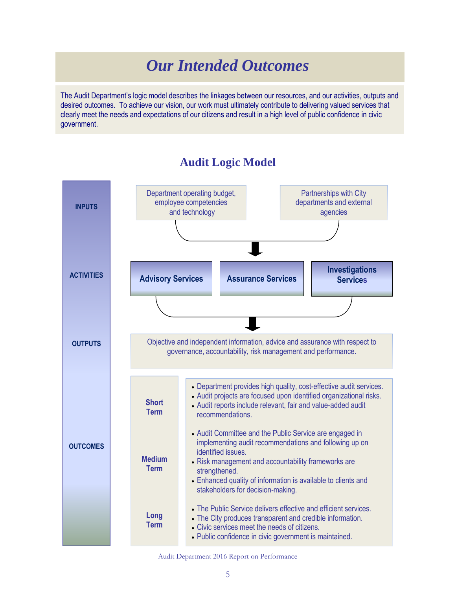## *Our Intended Outcomes*

<span id="page-5-0"></span>The Audit Department's logic model describes the linkages between our resources, and our activities, outputs and desired outcomes. To achieve our vision, our work must ultimately contribute to delivering valued services that clearly meet the needs and expectations of our citizens and result in a high level of public confidence in civic government.

#### **INPUTS ACTIVITIES OUTPUTS OUTCOMES** Department operating budget, employee competencies and technology Partnerships with City departments and external agencies **Advisory Services Assurance Services Investigations Services** Objective and independent information, advice and assurance with respect to governance, accountability, risk management and performance. Department provides high quality, cost-effective audit services. Audit projects are focused upon identified organizational risks. Audit reports include relevant, fair and value-added audit recommendations. Audit Committee and the Public Service are engaged in implementing audit recommendations and following up on identified issues. Risk management and accountability frameworks are strengthened. Enhanced quality of information is available to clients and stakeholders for decision-making. The Public Service delivers effective and efficient services. The City produces transparent and credible information. Civic services meet the needs of citizens. Public confidence in civic government is maintained. **Short Term Medium Term Long Term**

### **Audit Logic Model**

Audit Department 2016 Report on Performance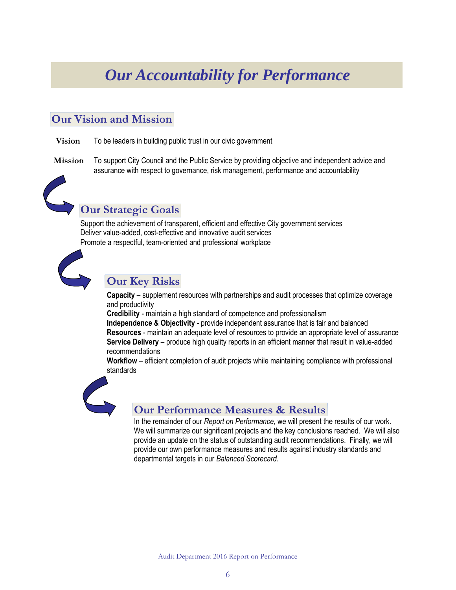## <span id="page-6-0"></span>*Our Accountability for Performance*

### **Our Vision and Mission**

- **Vision** To be leaders in building public trust in our civic government
- **Mission** To support City Council and the Public Service by providing objective and independent advice and assurance with respect to governance, risk management, performance and accountability



Support the achievement of transparent, efficient and effective City government services Deliver value-added, cost-effective and innovative audit services Promote a respectful, team-oriented and professional workplace



### **Our Key Risks**

**Capacity** – supplement resources with partnerships and audit processes that optimize coverage and productivity

**Credibility** - maintain a high standard of competence and professionalism **Independence & Objectivity** - provide independent assurance that is fair and balanced **Resources** - maintain an adequate level of resources to provide an appropriate level of assurance **Service Delivery** – produce high quality reports in an efficient manner that result in value-added recommendations

**Workflow** – efficient completion of audit projects while maintaining compliance with professional standards



### **Our Performance Measures & Results**

In the remainder of our *Report on Performance*, we will present the results of our work. We will summarize our significant projects and the key conclusions reached. We will also provide an update on the status of outstanding audit recommendations. Finally, we will provide our own performance measures and results against industry standards and departmental targets in our *Balanced Scorecard.*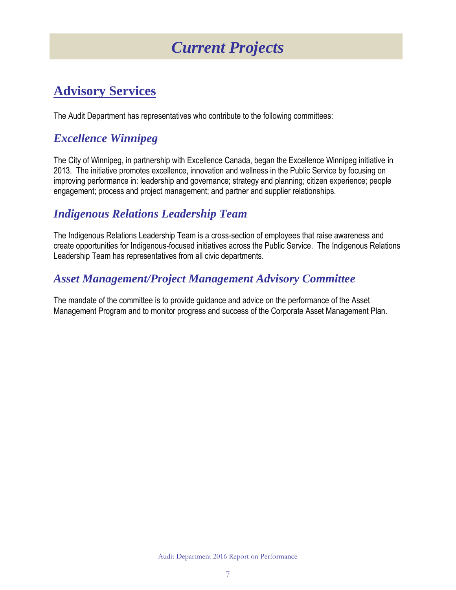## *Current Projects*

## <span id="page-7-0"></span>**Advisory Services**

The Audit Department has representatives who contribute to the following committees:

## *Excellence Winnipeg*

The City of Winnipeg, in partnership with Excellence Canada, began the Excellence Winnipeg initiative in 2013. The initiative promotes excellence, innovation and wellness in the Public Service by focusing on improving performance in: leadership and governance; strategy and planning; citizen experience; people engagement; process and project management; and partner and supplier relationships.

## *Indigenous Relations Leadership Team*

The Indigenous Relations Leadership Team is a cross-section of employees that raise awareness and create opportunities for Indigenous-focused initiatives across the Public Service. The Indigenous Relations Leadership Team has representatives from all civic departments.

## *Asset Management/Project Management Advisory Committee*

The mandate of the committee is to provide guidance and advice on the performance of the Asset Management Program and to monitor progress and success of the Corporate Asset Management Plan.

Audit Department 2016 Report on Performance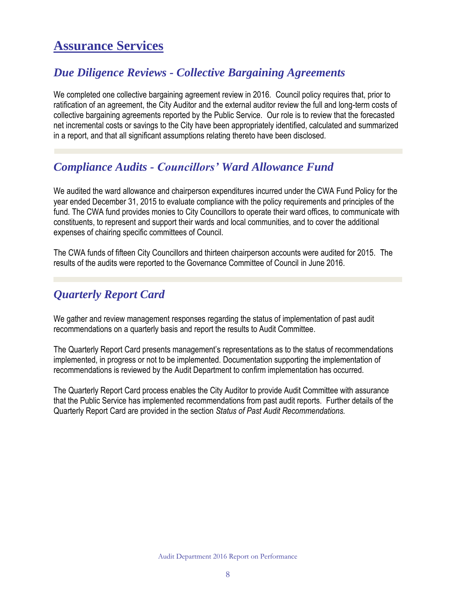## **Assurance Services**

### *Due Diligence Reviews - Collective Bargaining Agreements*

We completed one collective bargaining agreement review in 2016. Council policy requires that, prior to ratification of an agreement, the City Auditor and the external auditor review the full and long-term costs of collective bargaining agreements reported by the Public Service. Our role is to review that the forecasted net incremental costs or savings to the City have been appropriately identified, calculated and summarized in a report, and that all significant assumptions relating thereto have been disclosed.

### *Compliance Audits - Councillors' Ward Allowance Fund*

We audited the ward allowance and chairperson expenditures incurred under the CWA Fund Policy for the year ended December 31, 2015 to evaluate compliance with the policy requirements and principles of the fund. The CWA fund provides monies to City Councillors to operate their ward offices, to communicate with constituents, to represent and support their wards and local communities, and to cover the additional expenses of chairing specific committees of Council.

The CWA funds of fifteen City Councillors and thirteen chairperson accounts were audited for 2015. The results of the audits were reported to the Governance Committee of Council in June 2016.

### *Quarterly Report Card*

We gather and review management responses regarding the status of implementation of past audit recommendations on a quarterly basis and report the results to Audit Committee.

The Quarterly Report Card presents management's representations as to the status of recommendations implemented, in progress or not to be implemented. Documentation supporting the implementation of recommendations is reviewed by the Audit Department to confirm implementation has occurred.

The Quarterly Report Card process enables the City Auditor to provide Audit Committee with assurance that the Public Service has implemented recommendations from past audit reports. Further details of the Quarterly Report Card are provided in the section *Status of Past Audit Recommendations.*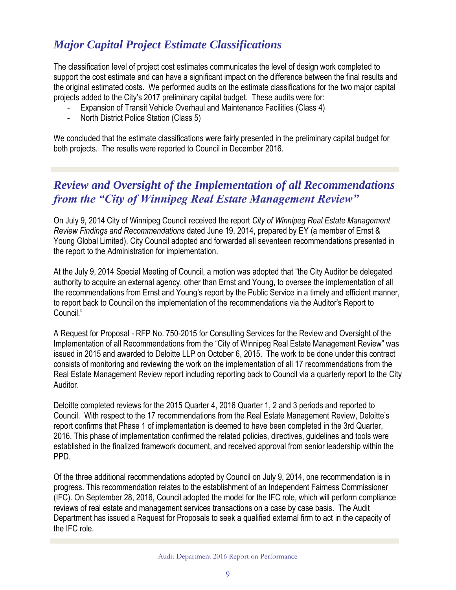## *Major Capital Project Estimate Classifications*

The classification level of project cost estimates communicates the level of design work completed to support the cost estimate and can have a significant impact on the difference between the final results and the original estimated costs. We performed audits on the estimate classifications for the two major capital projects added to the City's 2017 preliminary capital budget. These audits were for:

- Expansion of Transit Vehicle Overhaul and Maintenance Facilities (Class 4)
- North District Police Station (Class 5)

We concluded that the estimate classifications were fairly presented in the preliminary capital budget for both projects. The results were reported to Council in December 2016.

## *Review and Oversight of the Implementation of all Recommendations from the "City of Winnipeg Real Estate Management Review"*

On July 9, 2014 City of Winnipeg Council received the report *City of Winnipeg Real Estate Management Review Findings and Recommendations* dated June 19, 2014, prepared by EY (a member of Ernst & Young Global Limited). City Council adopted and forwarded all seventeen recommendations presented in the report to the Administration for implementation.

At the July 9, 2014 Special Meeting of Council, a motion was adopted that "the City Auditor be delegated authority to acquire an external agency, other than Ernst and Young, to oversee the implementation of all the recommendations from Ernst and Young's report by the Public Service in a timely and efficient manner, to report back to Council on the implementation of the recommendations via the Auditor's Report to Council<sup>"</sup>

A Request for Proposal - RFP No. 750-2015 for Consulting Services for the Review and Oversight of the Implementation of all Recommendations from the "City of Winnipeg Real Estate Management Review" was issued in 2015 and awarded to Deloitte LLP on October 6, 2015. The work to be done under this contract consists of monitoring and reviewing the work on the implementation of all 17 recommendations from the Real Estate Management Review report including reporting back to Council via a quarterly report to the City Auditor.

Deloitte completed reviews for the 2015 Quarter 4, 2016 Quarter 1, 2 and 3 periods and reported to Council. With respect to the 17 recommendations from the Real Estate Management Review, Deloitte's report confirms that Phase 1 of implementation is deemed to have been completed in the 3rd Quarter, 2016. This phase of implementation confirmed the related policies, directives, guidelines and tools were established in the finalized framework document, and received approval from senior leadership within the PPD.

Of the three additional recommendations adopted by Council on July 9, 2014, one recommendation is in progress. This recommendation relates to the establishment of an Independent Fairness Commissioner (IFC). On September 28, 2016, Council adopted the model for the IFC role, which will perform compliance reviews of real estate and management services transactions on a case by case basis. The Audit Department has issued a Request for Proposals to seek a qualified external firm to act in the capacity of the IFC role.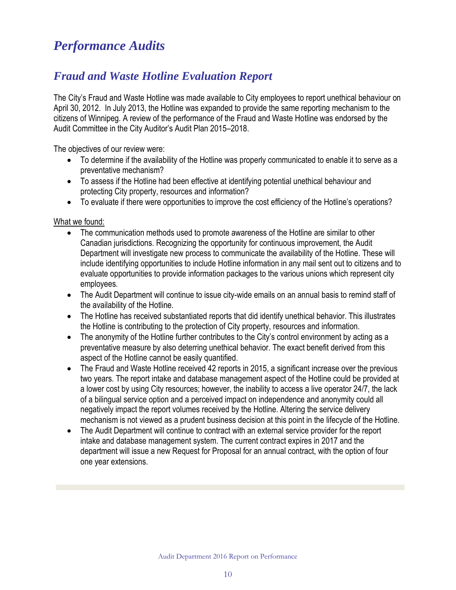## *Performance Audits*

## *[Fraud and Waste Hotline Evaluation Report](http://winnipeg.ca/audit/pdfs/reports/2015/WWARPFinalReport.pdf)*

The City's Fraud and Waste Hotline was made available to City employees to report unethical behaviour on April 30, 2012. In July 2013, the Hotline was expanded to provide the same reporting mechanism to the citizens of Winnipeg. A review of the performance of the Fraud and Waste Hotline was endorsed by the Audit Committee in the City Auditor's Audit Plan 2015–2018.

The objectives of our review were:

- To determine if the availability of the Hotline was properly communicated to enable it to serve as a preventative mechanism?
- To assess if the Hotline had been effective at identifying potential unethical behaviour and protecting City property, resources and information?
- To evaluate if there were opportunities to improve the cost efficiency of the Hotline's operations?

What we found:

- The communication methods used to promote awareness of the Hotline are similar to other Canadian jurisdictions. Recognizing the opportunity for continuous improvement, the Audit Department will investigate new process to communicate the availability of the Hotline. These will include identifying opportunities to include Hotline information in any mail sent out to citizens and to evaluate opportunities to provide information packages to the various unions which represent city employees.
- The Audit Department will continue to issue city-wide emails on an annual basis to remind staff of the availability of the Hotline.
- The Hotline has received substantiated reports that did identify unethical behavior. This illustrates the Hotline is contributing to the protection of City property, resources and information.
- The anonymity of the Hotline further contributes to the City's control environment by acting as a preventative measure by also deterring unethical behavior. The exact benefit derived from this aspect of the Hotline cannot be easily quantified.
- The Fraud and Waste Hotline received 42 reports in 2015, a significant increase over the previous two years. The report intake and database management aspect of the Hotline could be provided at a lower cost by using City resources; however, the inability to access a live operator 24/7, the lack of a bilingual service option and a perceived impact on independence and anonymity could all negatively impact the report volumes received by the Hotline. Altering the service delivery mechanism is not viewed as a prudent business decision at this point in the lifecycle of the Hotline.
- The Audit Department will continue to contract with an external service provider for the report intake and database management system. The current contract expires in 2017 and the department will issue a new Request for Proposal for an annual contract, with the option of four one year extensions.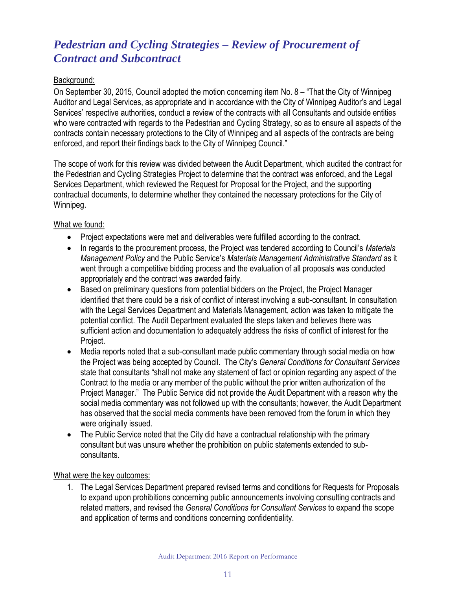## *Pedestrian and Cycling Strategies – Review of Procurement of Contract and Subcontract*

#### Background:

On September 30, 2015, Council adopted the motion concerning item No. 8 – "That the City of Winnipeg Auditor and Legal Services, as appropriate and in accordance with the City of Winnipeg Auditor's and Legal Services' respective authorities, conduct a review of the contracts with all Consultants and outside entities who were contracted with regards to the Pedestrian and Cycling Strategy, so as to ensure all aspects of the contracts contain necessary protections to the City of Winnipeg and all aspects of the contracts are being enforced, and report their findings back to the City of Winnipeg Council."

The scope of work for this review was divided between the Audit Department, which audited the contract for the Pedestrian and Cycling Strategies Project to determine that the contract was enforced, and the Legal Services Department, which reviewed the Request for Proposal for the Project, and the supporting contractual documents, to determine whether they contained the necessary protections for the City of Winnipeg.

#### What we found:

- Project expectations were met and deliverables were fulfilled according to the contract.
- In regards to the procurement process, the Project was tendered according to Council's *Materials Management Policy* and the Public Service's *Materials Management Administrative Standard* as it went through a competitive bidding process and the evaluation of all proposals was conducted appropriately and the contract was awarded fairly.
- Based on preliminary questions from potential bidders on the Project, the Project Manager identified that there could be a risk of conflict of interest involving a sub-consultant. In consultation with the Legal Services Department and Materials Management, action was taken to mitigate the potential conflict. The Audit Department evaluated the steps taken and believes there was sufficient action and documentation to adequately address the risks of conflict of interest for the Project.
- Media reports noted that a sub-consultant made public commentary through social media on how the Project was being accepted by Council. The City's *General Conditions for Consultant Services* state that consultants "shall not make any statement of fact or opinion regarding any aspect of the Contract to the media or any member of the public without the prior written authorization of the Project Manager." The Public Service did not provide the Audit Department with a reason why the social media commentary was not followed up with the consultants; however, the Audit Department has observed that the social media comments have been removed from the forum in which they were originally issued.
- The Public Service noted that the City did have a contractual relationship with the primary consultant but was unsure whether the prohibition on public statements extended to subconsultants.

#### What were the key outcomes:

1. The Legal Services Department prepared revised terms and conditions for Requests for Proposals to expand upon prohibitions concerning public announcements involving consulting contracts and related matters, and revised the *General Conditions for Consultant Services* to expand the scope and application of terms and conditions concerning confidentiality.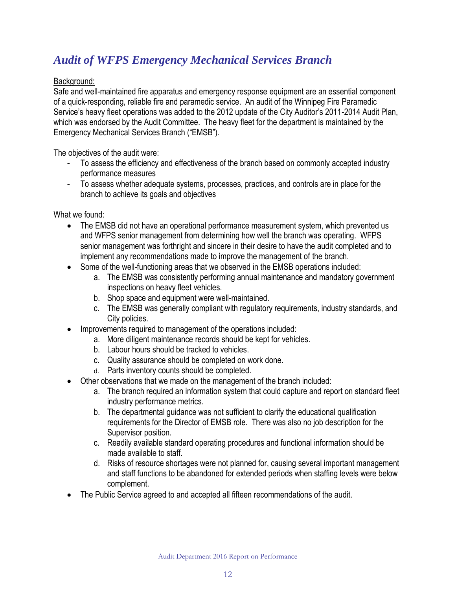## *[Audit](http://winnipeg.ca/audit/pdfs/reports/2015/CommunityBylawEnforcementServicesAudit.pdf) of WFPS Emergency Mechanical Services Branch*

#### Background:

Safe and well-maintained fire apparatus and emergency response equipment are an essential component of a quick-responding, reliable fire and paramedic service. An audit of the Winnipeg Fire Paramedic Service's heavy fleet operations was added to the 2012 update of the City Auditor's 2011-2014 Audit Plan, which was endorsed by the Audit Committee. The heavy fleet for the department is maintained by the Emergency Mechanical Services Branch ("EMSB").

The objectives of the audit were:

- To assess the efficiency and effectiveness of the branch based on commonly accepted industry performance measures
- To assess whether adequate systems, processes, practices, and controls are in place for the branch to achieve its goals and objectives

#### What we found:

- The EMSB did not have an operational performance measurement system, which prevented us and WFPS senior management from determining how well the branch was operating. WFPS senior management was forthright and sincere in their desire to have the audit completed and to implement any recommendations made to improve the management of the branch.
- Some of the well-functioning areas that we observed in the EMSB operations included:
	- a. The EMSB was consistently performing annual maintenance and mandatory government inspections on heavy fleet vehicles.
	- b. Shop space and equipment were well-maintained.
	- c. The EMSB was generally compliant with regulatory requirements, industry standards, and City policies.
- Improvements required to management of the operations included:
	- a. More diligent maintenance records should be kept for vehicles.
	- b. Labour hours should be tracked to vehicles.
	- c. Quality assurance should be completed on work done.
	- d. Parts inventory counts should be completed.
- Other observations that we made on the management of the branch included:
	- a. The branch required an information system that could capture and report on standard fleet industry performance metrics.
	- b. The departmental guidance was not sufficient to clarify the educational qualification requirements for the Director of EMSB role. There was also no job description for the Supervisor position.
	- c. Readily available standard operating procedures and functional information should be made available to staff.
	- d. Risks of resource shortages were not planned for, causing several important management and staff functions to be abandoned for extended periods when staffing levels were below complement.
- The Public Service agreed to and accepted all fifteen recommendations of the audit.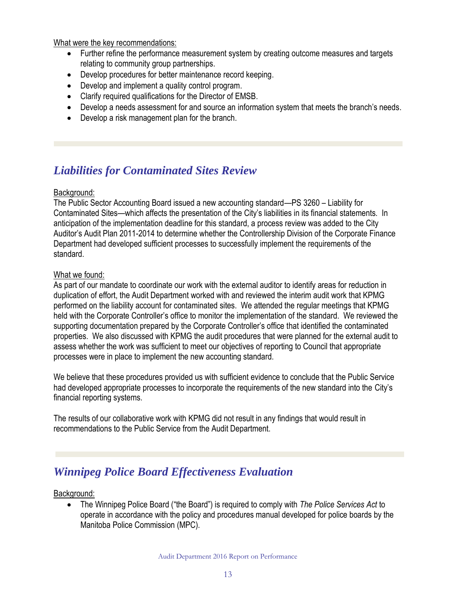What were the key recommendations:

- Further refine the performance measurement system by creating outcome measures and targets relating to community group partnerships.
- Develop procedures for better maintenance record keeping.
- Develop and implement a quality control program.
- Clarify required qualifications for the Director of EMSB.
- Develop a needs assessment for and source an information system that meets the branch's needs.
- Develop a risk management plan for the branch.

## *Liabilities for Contaminated Sites Review*

#### Background:

The Public Sector Accounting Board issued a new accounting standard—PS 3260 – Liability for Contaminated Sites—which affects the presentation of the City's liabilities in its financial statements. In anticipation of the implementation deadline for this standard, a process review was added to the City Auditor's Audit Plan 2011-2014 to determine whether the Controllership Division of the Corporate Finance Department had developed sufficient processes to successfully implement the requirements of the standard.

#### What we found:

As part of our mandate to coordinate our work with the external auditor to identify areas for reduction in duplication of effort, the Audit Department worked with and reviewed the interim audit work that KPMG performed on the liability account for contaminated sites. We attended the regular meetings that KPMG held with the Corporate Controller's office to monitor the implementation of the standard. We reviewed the supporting documentation prepared by the Corporate Controller's office that identified the contaminated properties. We also discussed with KPMG the audit procedures that were planned for the external audit to assess whether the work was sufficient to meet our objectives of reporting to Council that appropriate processes were in place to implement the new accounting standard.

We believe that these procedures provided us with sufficient evidence to conclude that the Public Service had developed appropriate processes to incorporate the requirements of the new standard into the City's financial reporting systems.

The results of our collaborative work with KPMG did not result in any findings that would result in recommendations to the Public Service from the Audit Department.

### *Winnipeg Police Board Effectiveness Evaluation*

Background:

• The Winnipeg Police Board ("the Board") is required to comply with *The Police Services Act* to operate in accordance with the policy and procedures manual developed for police boards by the Manitoba Police Commission (MPC).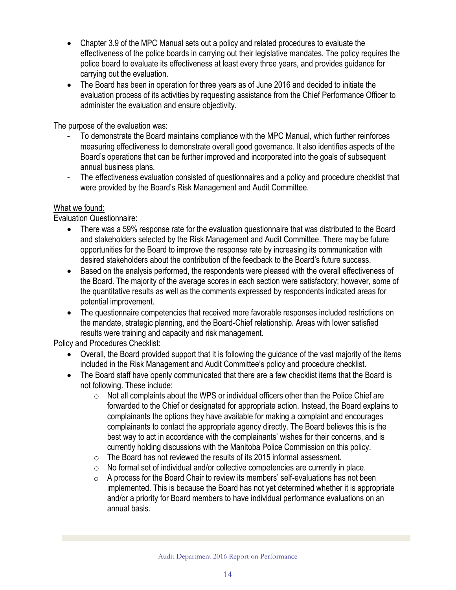- Chapter 3.9 of the MPC Manual sets out a policy and related procedures to evaluate the effectiveness of the police boards in carrying out their legislative mandates. The policy requires the police board to evaluate its effectiveness at least every three years, and provides guidance for carrying out the evaluation.
- The Board has been in operation for three years as of June 2016 and decided to initiate the evaluation process of its activities by requesting assistance from the Chief Performance Officer to administer the evaluation and ensure objectivity.

The purpose of the evaluation was:

- To demonstrate the Board maintains compliance with the MPC Manual, which further reinforces measuring effectiveness to demonstrate overall good governance. It also identifies aspects of the Board's operations that can be further improved and incorporated into the goals of subsequent annual business plans.
- The effectiveness evaluation consisted of questionnaires and a policy and procedure checklist that were provided by the Board's Risk Management and Audit Committee.

#### What we found:

Evaluation Questionnaire:

- There was a 59% response rate for the evaluation questionnaire that was distributed to the Board and stakeholders selected by the Risk Management and Audit Committee. There may be future opportunities for the Board to improve the response rate by increasing its communication with desired stakeholders about the contribution of the feedback to the Board's future success.
- Based on the analysis performed, the respondents were pleased with the overall effectiveness of the Board. The majority of the average scores in each section were satisfactory; however, some of the quantitative results as well as the comments expressed by respondents indicated areas for potential improvement.
- The questionnaire competencies that received more favorable responses included restrictions on the mandate, strategic planning, and the Board-Chief relationship. Areas with lower satisfied results were training and capacity and risk management.

Policy and Procedures Checklist:

- Overall, the Board provided support that it is following the guidance of the vast majority of the items included in the Risk Management and Audit Committee's policy and procedure checklist.
- The Board staff have openly communicated that there are a few checklist items that the Board is not following. These include:
	- $\circ$  Not all complaints about the WPS or individual officers other than the Police Chief are forwarded to the Chief or designated for appropriate action. Instead, the Board explains to complainants the options they have available for making a complaint and encourages complainants to contact the appropriate agency directly. The Board believes this is the best way to act in accordance with the complainants' wishes for their concerns, and is currently holding discussions with the Manitoba Police Commission on this policy.
	- $\circ$  The Board has not reviewed the results of its 2015 informal assessment.
	- $\circ$  No formal set of individual and/or collective competencies are currently in place.
	- $\circ$  A process for the Board Chair to review its members' self-evaluations has not been implemented. This is because the Board has not yet determined whether it is appropriate and/or a priority for Board members to have individual performance evaluations on an annual basis.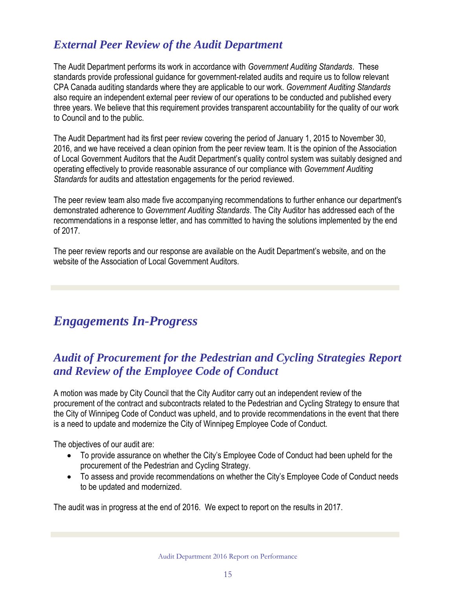## *External Peer Review of the Audit Department*

The Audit Department performs its work in accordance with *Government Auditing Standards*. These standards provide professional guidance for government-related audits and require us to follow relevant CPA Canada auditing standards where they are applicable to our work. *Government Auditing Standards* also require an independent external peer review of our operations to be conducted and published every three years. We believe that this requirement provides transparent accountability for the quality of our work to Council and to the public.

The Audit Department had its first peer review covering the period of January 1, 2015 to November 30, 2016, and we have received a clean opinion from the peer review team. It is the opinion of the Association of Local Government Auditors that the Audit Department's quality control system was suitably designed and operating effectively to provide reasonable assurance of our compliance with *Government Auditing Standards* for audits and attestation engagements for the period reviewed.

The peer review team also made five accompanying recommendations to further enhance our department's demonstrated adherence to *Government Auditing Standards*. The City Auditor has addressed each of the recommendations in a response letter, and has committed to having the solutions implemented by the end of 2017.

The peer review reports and our response are available on the Audit Department's website, and on the website of the Association of Local Government Auditors.

## *Engagements In-Progress*

## *Audit of Procurement for the Pedestrian and Cycling Strategies Report and Review of the Employee Code of Conduct*

A motion was made by City Council that the City Auditor carry out an independent review of the procurement of the contract and subcontracts related to the Pedestrian and Cycling Strategy to ensure that the City of Winnipeg Code of Conduct was upheld, and to provide recommendations in the event that there is a need to update and modernize the City of Winnipeg Employee Code of Conduct.

The objectives of our audit are:

- To provide assurance on whether the City's Employee Code of Conduct had been upheld for the procurement of the Pedestrian and Cycling Strategy.
- To assess and provide recommendations on whether the City's Employee Code of Conduct needs to be updated and modernized.

The audit was in progress at the end of 2016. We expect to report on the results in 2017.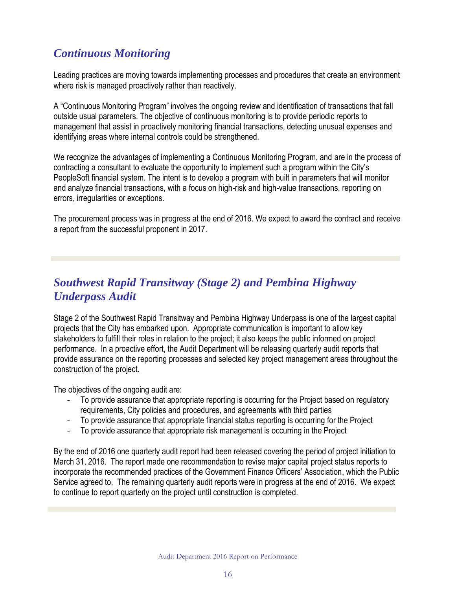## *Continuous Monitoring*

Leading practices are moving towards implementing processes and procedures that create an environment where risk is managed proactively rather than reactively.

A "Continuous Monitoring Program" involves the ongoing review and identification of transactions that fall outside usual parameters. The objective of continuous monitoring is to provide periodic reports to management that assist in proactively monitoring financial transactions, detecting unusual expenses and identifying areas where internal controls could be strengthened.

We recognize the advantages of implementing a Continuous Monitoring Program, and are in the process of contracting a consultant to evaluate the opportunity to implement such a program within the City's PeopleSoft financial system. The intent is to develop a program with built in parameters that will monitor and analyze financial transactions, with a focus on high-risk and high-value transactions, reporting on errors, irregularities or exceptions.

The procurement process was in progress at the end of 2016. We expect to award the contract and receive a report from the successful proponent in 2017.

### *Southwest Rapid Transitway (Stage 2) and Pembina Highway Underpass Audit*

Stage 2 of the Southwest Rapid Transitway and Pembina Highway Underpass is one of the largest capital projects that the City has embarked upon. Appropriate communication is important to allow key stakeholders to fulfill their roles in relation to the project; it also keeps the public informed on project performance. In a proactive effort, the Audit Department will be releasing quarterly audit reports that provide assurance on the reporting processes and selected key project management areas throughout the construction of the project.

The objectives of the ongoing audit are:

- To provide assurance that appropriate reporting is occurring for the Project based on regulatory requirements, City policies and procedures, and agreements with third parties
- To provide assurance that appropriate financial status reporting is occurring for the Project
- To provide assurance that appropriate risk management is occurring in the Project

By the end of 2016 one quarterly audit report had been released covering the period of project initiation to March 31, 2016. The report made one recommendation to revise major capital project status reports to incorporate the recommended practices of the Government Finance Officers' Association, which the Public Service agreed to. The remaining quarterly audit reports were in progress at the end of 2016. We expect to continue to report quarterly on the project until construction is completed.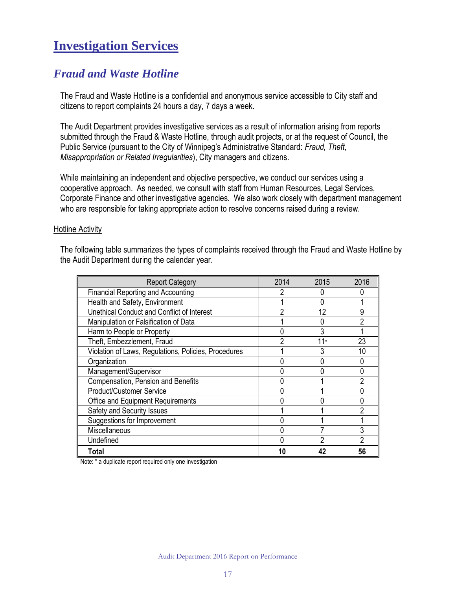## **Investigation Services**

### *Fraud and Waste Hotline*

The Fraud and Waste Hotline is a confidential and anonymous service accessible to City staff and citizens to report complaints 24 hours a day, 7 days a week.

The Audit Department provides investigative services as a result of information arising from reports submitted through the Fraud & Waste Hotline, through audit projects, or at the request of Council, the Public Service (pursuant to the City of Winnipeg's Administrative Standard: *Fraud, Theft, Misappropriation or Related Irregularities*), City managers and citizens.

While maintaining an independent and objective perspective, we conduct our services using a cooperative approach. As needed, we consult with staff from Human Resources, Legal Services, Corporate Finance and other investigative agencies. We also work closely with department management who are responsible for taking appropriate action to resolve concerns raised during a review.

#### **Hotline Activity**

The following table summarizes the types of complaints received through the Fraud and Waste Hotline by the Audit Department during the calendar year.

| <b>Report Category</b>                               | 2014 | 2015 | 2016 |
|------------------------------------------------------|------|------|------|
| <b>Financial Reporting and Accounting</b>            |      |      |      |
| Health and Safety, Environment                       |      |      |      |
| Unethical Conduct and Conflict of Interest           | 2    | 12   | 9    |
| Manipulation or Falsification of Data                |      |      | ∩    |
| Harm to People or Property                           |      | 3    |      |
| Theft, Embezzlement, Fraud                           | ∩    | 11*  | 23   |
| Violation of Laws, Regulations, Policies, Procedures |      | 3    | 10   |
| Organization                                         |      |      |      |
| Management/Supervisor                                |      |      |      |
| Compensation, Pension and Benefits                   |      |      |      |
| <b>Product/Customer Service</b>                      |      |      |      |
| Office and Equipment Requirements                    |      |      |      |
| Safety and Security Issues                           |      |      | ŋ    |
| Suggestions for Improvement                          |      |      |      |
| Miscellaneous                                        |      |      |      |
| Undefined                                            |      |      |      |
| Total                                                |      | 42   | 56   |

Note: \* a duplicate report required only one investigation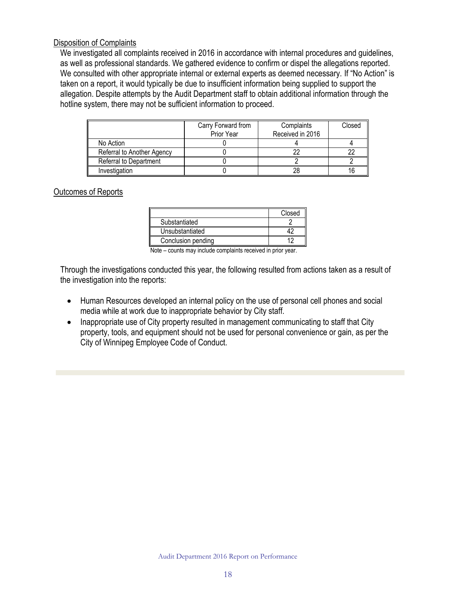#### Disposition of Complaints

We investigated all complaints received in 2016 in accordance with internal procedures and guidelines, as well as professional standards. We gathered evidence to confirm or dispel the allegations reported. We consulted with other appropriate internal or external experts as deemed necessary. If "No Action" is taken on a report, it would typically be due to insufficient information being supplied to support the allegation. Despite attempts by the Audit Department staff to obtain additional information through the hotline system, there may not be sufficient information to proceed.

|                            | Carry Forward from<br>Prior Year | Complaints<br>Received in 2016 | Closed |
|----------------------------|----------------------------------|--------------------------------|--------|
| No Action                  |                                  |                                |        |
| Referral to Another Agency |                                  |                                |        |
| Referral to Department     |                                  |                                |        |
| Investigation              |                                  | 28                             |        |

#### Outcomes of Reports

|                    | Closed |
|--------------------|--------|
| Substantiated      |        |
| Unsubstantiated    |        |
| Conclusion pending |        |

Note – counts may include complaints received in prior year.

Through the investigations conducted this year, the following resulted from actions taken as a result of the investigation into the reports:

- Human Resources developed an internal policy on the use of personal cell phones and social media while at work due to inappropriate behavior by City staff.
- Inappropriate use of City property resulted in management communicating to staff that City property, tools, and equipment should not be used for personal convenience or gain, as per the City of Winnipeg Employee Code of Conduct.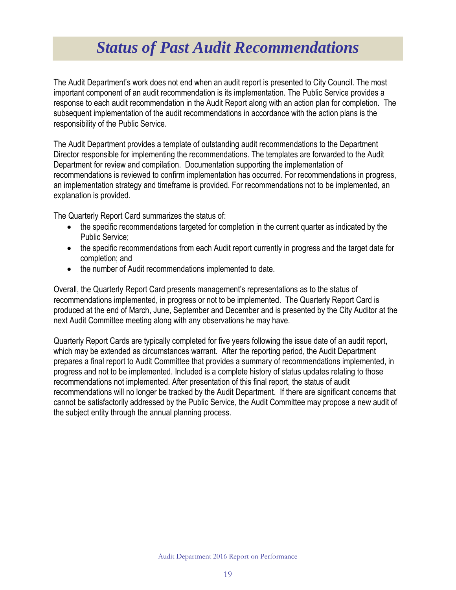## *Status of Past Audit Recommendations*

<span id="page-19-0"></span>The Audit Department's work does not end when an audit report is presented to City Council. The most important component of an audit recommendation is its implementation. The Public Service provides a response to each audit recommendation in the Audit Report along with an action plan for completion. The subsequent implementation of the audit recommendations in accordance with the action plans is the responsibility of the Public Service.

The Audit Department provides a template of outstanding audit recommendations to the Department Director responsible for implementing the recommendations. The templates are forwarded to the Audit Department for review and compilation. Documentation supporting the implementation of recommendations is reviewed to confirm implementation has occurred. For recommendations in progress, an implementation strategy and timeframe is provided. For recommendations not to be implemented, an explanation is provided.

The Quarterly Report Card summarizes the status of:

- the specific recommendations targeted for completion in the current quarter as indicated by the Public Service;
- the specific recommendations from each Audit report currently in progress and the target date for completion; and
- the number of Audit recommendations implemented to date.

Overall, the Quarterly Report Card presents management's representations as to the status of recommendations implemented, in progress or not to be implemented. The Quarterly Report Card is produced at the end of March, June, September and December and is presented by the City Auditor at the next Audit Committee meeting along with any observations he may have.

Quarterly Report Cards are typically completed for five years following the issue date of an audit report, which may be extended as circumstances warrant. After the reporting period, the Audit Department prepares a final report to Audit Committee that provides a summary of recommendations implemented, in progress and not to be implemented. Included is a complete history of status updates relating to those recommendations not implemented. After presentation of this final report, the status of audit recommendations will no longer be tracked by the Audit Department. If there are significant concerns that cannot be satisfactorily addressed by the Public Service, the Audit Committee may propose a new audit of the subject entity through the annual planning process.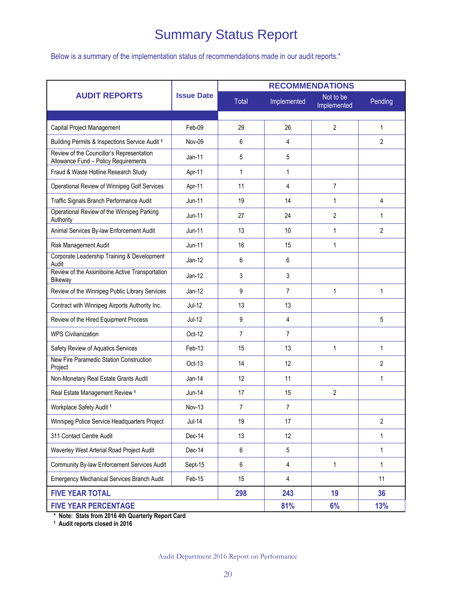## Summary Status Report

Below is a summary of the implementation status of recommendations made in our audit reports.\*

|                                                                                   |                   | <b>RECOMMENDATIONS</b> |                   |                          |                |  |
|-----------------------------------------------------------------------------------|-------------------|------------------------|-------------------|--------------------------|----------------|--|
| <b>AUDIT REPORTS</b>                                                              | <b>Issue Date</b> | <b>Total</b>           | Implemented       | Not to be<br>Implemented | Pending        |  |
|                                                                                   |                   |                        |                   |                          |                |  |
| Capital Project Management                                                        | $Feh-09$          | 29                     | 26                | $\overline{2}$           |                |  |
| Building Permits & Inspections Service Audit 1                                    | Nov-09            | 6                      | 4                 |                          | 2              |  |
| Review of the Councillor's Representation<br>Allowance Fund - Policy Requirements | $Jan-11$          | 5                      | 5                 |                          |                |  |
| Fraud & Waste Hotline Research Study                                              | Apr-11            | $\mathbf{1}$           | $\mathbf{1}$      |                          |                |  |
| Operational Review of Winnipeg Golf Services                                      | Apr-11            | 11                     | 4                 | 7                        |                |  |
| Traffic Signals Branch Performance Audit                                          | <b>Jun-11</b>     | 19                     | 14                | 1                        | 4              |  |
| Operational Review of the Winnipeg Parking<br>Authority                           | $Jun-11$          | 27                     | 24                | 2                        | 1              |  |
| Animal Services By-law Enforcement Audit                                          | <b>Jun-11</b>     | 13                     | 10                | $\mathbf{1}$             | $\overline{2}$ |  |
| Risk Management Audit                                                             | <b>Jun-11</b>     | 16                     | 15                | 1                        |                |  |
| Corporate Leadership Training & Development<br>Audit                              | $Jan-12$          | 6                      | 6                 |                          |                |  |
| Review of the Assiniboine Active Transportation<br><b>Bikeway</b>                 | $Jan-12$          | 3                      | 3                 |                          |                |  |
| Review of the Winnipeg Public Library Services                                    | $Jan-12$          | 9                      | $\overline{7}$    | 1                        | $\mathbf{1}$   |  |
| Contract with Winnipeg Airports Authority Inc.                                    | Jul-12            | 13                     | 13                |                          |                |  |
| Review of the Hired Equipment Process                                             | $Jul-12$          | 9                      | 4                 |                          |                |  |
| <b>WPS Civilianization</b>                                                        | Oct-12            | $\overline{7}$         | $\overline{7}$    |                          |                |  |
| Safety Review of Aquatics Services                                                | Feb-13            | 15                     | 13                | $\mathbf{1}$             | $\mathbf{1}$   |  |
| New Fire Paramedic Station Construction<br>Project                                | Oct-13            | 14                     | 12                |                          | $\overline{2}$ |  |
| Non-Monetary Real Estate Grants Audit                                             | $Jan-14$          | 12                     | 11                |                          | $\mathbf{1}$   |  |
| Real Estate Management Review <sup>1</sup>                                        | Jun-14            | 17                     | 15                | $\overline{2}$           |                |  |
| Workplace Safety Audit 1                                                          | <b>Nov-13</b>     | $\overline{7}$         | 7                 |                          |                |  |
| Winnipeg Police Service Headquarters Project                                      | $Jul-14$          | 19                     | 17                |                          | $\overline{2}$ |  |
| 311 Contact Centre Audit                                                          | Dec-14            | 13                     | 12                |                          | $\mathbf{1}$   |  |
| Waverley West Arterial Road Project Audit                                         | Dec-14            | 6                      | 5                 |                          | $\mathbf{1}$   |  |
| Community By-law Enforcement Services Audit                                       | Sept-15           | 6                      | 4<br>$\mathbf{1}$ |                          | $\mathbf{1}$   |  |
| <b>Emergency Mechanical Services Branch Audit</b>                                 | Feb-15            | 15                     | 4                 |                          | 11             |  |
| <b>FIVE YEAR TOTAL</b>                                                            |                   | 298                    | 243               | 19                       | 36             |  |
| <b>FIVE YEAR PERCENTAGE</b>                                                       |                   |                        | 81%               | 6%                       | 13%            |  |

**\* Note: Stats from 2016 4th Quarterly Report Card 1 Audit reports closed in 2016**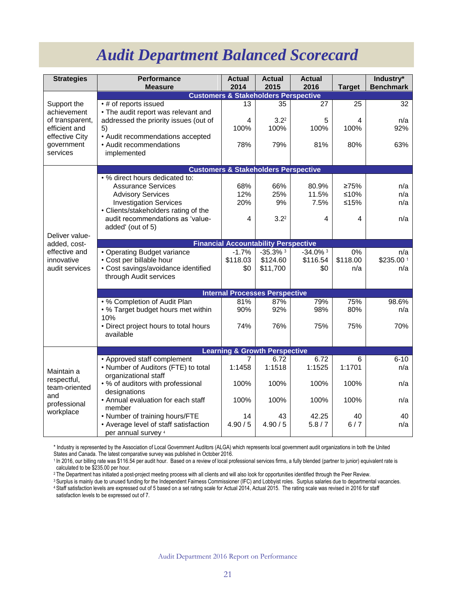## *Audit Department Balanced Scorecard*

<span id="page-21-0"></span>

| <b>Strategies</b>                    | Performance<br><b>Measure</b>                                | <b>Actual</b><br>2014 | <b>Actual</b><br>2015                           | <b>Actual</b><br>2016  | <b>Target</b> | Industry*<br><b>Benchmark</b> |  |
|--------------------------------------|--------------------------------------------------------------|-----------------------|-------------------------------------------------|------------------------|---------------|-------------------------------|--|
|                                      | <b>Customers &amp; Stakeholders Perspective</b>              |                       |                                                 |                        |               |                               |  |
| Support the<br>achievement           | • # of reports issued<br>• The audit report was relevant and | 13                    | 35                                              | 27                     | 25            | 32                            |  |
| of transparent,                      | addressed the priority issues (out of                        | 4                     | 3.2 <sup>2</sup>                                | 5                      | 4             | n/a                           |  |
| efficient and<br>effective City      | 5)<br>• Audit recommendations accepted                       | 100%                  | 100%                                            | 100%                   | 100%          | 92%                           |  |
| government                           | • Audit recommendations                                      | 78%                   | 79%                                             | 81%                    | 80%           | 63%                           |  |
| services                             | implemented                                                  |                       |                                                 |                        |               |                               |  |
|                                      |                                                              |                       | <b>Customers &amp; Stakeholders Perspective</b> |                        |               |                               |  |
|                                      | • % direct hours dedicated to:                               |                       |                                                 |                        |               |                               |  |
|                                      | <b>Assurance Services</b>                                    | 68%                   | 66%                                             | 80.9%                  | 275%          | n/a                           |  |
|                                      | <b>Advisory Services</b>                                     | 12%                   | 25%                                             | 11.5%                  | $≤10%$        | n/a                           |  |
|                                      | <b>Investigation Services</b>                                | 20%                   | 9%                                              | 7.5%                   | $≤15%$        | n/a                           |  |
|                                      | • Clients/stakeholders rating of the                         |                       |                                                 |                        |               |                               |  |
|                                      | audit recommendations as 'value-<br>added' (out of 5)        | 4                     | 3.2 <sup>2</sup>                                | 4                      | 4             | n/a                           |  |
| Deliver value-                       |                                                              |                       |                                                 |                        |               |                               |  |
| added, cost-                         |                                                              |                       | <b>Financial Accountability Perspective</b>     |                        |               |                               |  |
| effective and                        | • Operating Budget variance                                  | $-1.7%$               | $-35.3%$ 3                                      | $-34.0\%$ <sup>3</sup> | 0%            | n/a                           |  |
| innovative                           | • Cost per billable hour                                     | \$118.03              | \$124.60                                        | \$116.54               | \$118.00      | \$235.00 1                    |  |
| audit services                       | • Cost savings/avoidance identified                          | \$0                   | \$11,700                                        | \$0                    | n/a           | n/a                           |  |
|                                      | through Audit services                                       |                       |                                                 |                        |               |                               |  |
|                                      |                                                              |                       | <b>Internal Processes Perspective</b>           |                        |               |                               |  |
|                                      | . % Completion of Audit Plan                                 | 81%                   | 87%                                             | 79%                    | 75%           | 98.6%                         |  |
|                                      | • % Target budget hours met within                           | 90%                   | 92%                                             | 98%                    | 80%           | n/a                           |  |
|                                      | 10%                                                          |                       |                                                 |                        |               |                               |  |
|                                      | • Direct project hours to total hours<br>available           | 74%                   | 76%                                             | 75%                    | 75%           | 70%                           |  |
|                                      |                                                              |                       |                                                 |                        |               |                               |  |
|                                      | <b>Learning &amp; Growth Perspective</b>                     |                       |                                                 |                        |               |                               |  |
|                                      | • Approved staff complement                                  | 7                     | 6.72                                            | 6.72                   | 6             | $6 - 10$                      |  |
| Maintain a                           | • Number of Auditors (FTE) to total                          | 1:1458                | 1:1518                                          | 1:1525                 | 1:1701        | n/a                           |  |
| respectful,                          | organizational staff<br>• % of auditors with professional    | 100%                  | 100%                                            | 100%                   | 100%          | n/a                           |  |
| team-oriented<br>and<br>professional | designations                                                 |                       |                                                 |                        |               |                               |  |
|                                      | • Annual evaluation for each staff                           | 100%                  | 100%                                            | 100%                   | 100%          | n/a                           |  |
| workplace                            | member<br>• Number of training hours/FTE                     | 14                    | 43                                              | 42.25                  | 40            | 40                            |  |
|                                      | • Average level of staff satisfaction                        | 4.90 / 5              | 4.90 / 5                                        | 5.8/7                  | 6/7           | n/a                           |  |
|                                      | per annual survey 4                                          |                       |                                                 |                        |               |                               |  |

\* Industry is represented by the Association of Local Government Auditors (ALGA) which represents local government audit organizations in both the United States and Canada. The latest comparative survey was published in October 2016.

1 In 2016, our billing rate was \$116.54 per audit hour. Based on a review of local professional services firms, a fully blended (partner to junior) equivalent rate is calculated to be \$235.00 per hour.

<sup>2</sup> The Department has initiated a post-project meeting process with all clients and will also look for opportunities identified through the Peer Review.

<sup>3</sup> Surplus is mainly due to unused funding for the Independent Fairness Commissioner (IFC) and Lobbyist roles. Surplus salaries due to departmental vacancies. <sup>4</sup> Staff satisfaction levels are expressed out of 5 based on a set rating scale for Actual 2014, Actual 2015. The rating scale was revised in 2016 for staff satisfaction levels to be expressed out of 7.

Audit Department 2016 Report on Performance